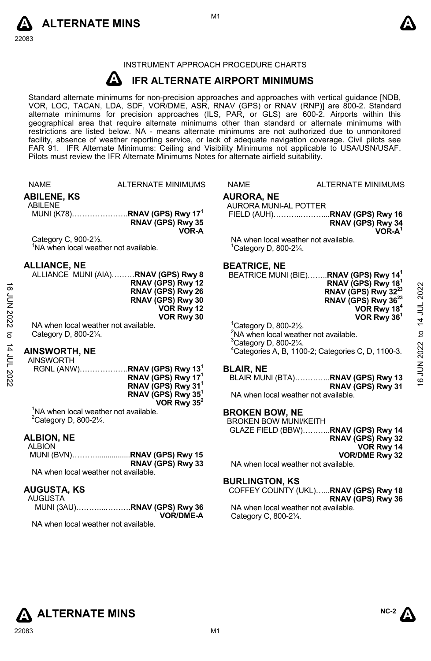



#### INSTRUMENT APPROACH PROCEDURE CHARTS

#### **A IFR ALTERNATE AIRPORT MINIMUMS**

Standard alternate minimums for non-precision approaches and approaches with vertical guidance [NDB,<br>VOR, LOC, TACAN, LDA, SDF, VOR/DME, ASR, RNAV (GPS) or RNAV (RNP)] are 800-2. Standard alternate minimums for precision approaches (ILS, PAR, or GLS) are 600-2. Airports within this geographical area that require alternate minimums other than standard or alternate minimums with restrictions are listed below. NA - means alternate minimums are not authorized due to unmonitored facility, absence of weather reporting service, or lack of adequate navigation coverage. Civil pilots see FAR 91. IFR Alternate Minimums: Ceiling and Visibility Minimums not applicable to USA/USN/USAF. Pilots must review the IFR Alternate Minimums Notes for alternate airfield suitability.

|                         | <b>NAME</b>                                                                             | <b>ALTERNATE MINIMUMS</b>                                                                                                                                                 | <b>NAME</b>                                                       | <b>ALTERNATE MINIMUMS</b>                                                                                                                                                                                                                               |                                |
|-------------------------|-----------------------------------------------------------------------------------------|---------------------------------------------------------------------------------------------------------------------------------------------------------------------------|-------------------------------------------------------------------|---------------------------------------------------------------------------------------------------------------------------------------------------------------------------------------------------------------------------------------------------------|--------------------------------|
|                         | <b>ABILENE, KS</b><br><b>ABILENE</b>                                                    | MUNI (K78)RNAV (GPS) Rwy 17 <sup>1</sup><br>RNAV (GPS) Rwy 35                                                                                                             | <b>AURORA, NE</b><br>AURORA MUNI-AL POTTER                        | RNAV (GPS) Rwy 34                                                                                                                                                                                                                                       |                                |
|                         |                                                                                         | VOR-A                                                                                                                                                                     |                                                                   | $VOR-A1$                                                                                                                                                                                                                                                |                                |
|                         | Category C, 900-21/2.<br><sup>1</sup> NA when local weather not available.              |                                                                                                                                                                           | $^1$ Category D, 800-2 $\frac{1}{4}$ .                            | NA when local weather not available.                                                                                                                                                                                                                    |                                |
| <b>16 JUN 2022</b><br>ಕ | <b>ALLIANCE, NE</b><br>NA when local weather not available.<br>Category D, 800-21/4.    | ALLIANCE MUNI (AIA)RNAV (GPS) Rwy 8<br>RNAV (GPS) Rwy 12<br>RNAV (GPS) Rwy 26<br>RNAV (GPS) Rwy 30<br>VOR Rwy 12<br>VOR Rwy 30                                            | <b>BEATRICE, NE</b><br>${}^{1}$ Category D, 800-2 $\frac{1}{2}$ . | BEATRICE MUNI (BIE)RNAV (GPS) Rwy 14 <sup>1</sup><br>RNAV (GPS) Rwy 18<br>RNAV (GPS) Rwy 32 <sup>23</sup><br>RNAV (GPS) Rwy 36 <sup>23</sup><br>VOR Rwy 18 <sup>4</sup><br>VOR Rwy 36 <sup>1</sup><br><sup>2</sup> NA when local weather not available. | 2022<br>14 JUL<br>$\mathbf{a}$ |
|                         | <b>AINSWORTH, NE</b>                                                                    |                                                                                                                                                                           | <sup>3</sup> Category D, 800-21/4.                                | <sup>4</sup> Categories A, B, 1100-2; Categories C, D, 1100-3.                                                                                                                                                                                          | 2022                           |
|                         | <b>AINSWORTH</b>                                                                        |                                                                                                                                                                           |                                                                   |                                                                                                                                                                                                                                                         |                                |
| 14 JUL 2022             |                                                                                         | RGNL (ANW)RNAV (GPS) Rwy 13 <sup>1</sup><br>RNAV (GPS) Rwy 17 <sup>1</sup><br>RNAV (GPS) Rwy 31 <sup>1</sup><br>RNAV (GPS) Rwy 35 <sup>1</sup><br>VOR Rwy 35 <sup>2</sup> | <b>BLAIR, NE</b>                                                  | BLAIR MUNI (BTA)RNAV (GPS) Rwy 13<br>RNAV (GPS) Rwy 31<br>NA when local weather not available.                                                                                                                                                          | <b>NTT 91</b>                  |
|                         | <sup>1</sup> NA when local weather not available.<br><sup>2</sup> Category D, 800-21/4. |                                                                                                                                                                           | <b>BROKEN BOW, NE</b><br><b>BROKEN BOW MUNI/KEITH</b>             | GLAZE FIELD (BBW)RNAV (GPS) Rwy 14                                                                                                                                                                                                                      |                                |
|                         | <b>ALBION, NE</b>                                                                       |                                                                                                                                                                           |                                                                   | RNAV (GPS) Rwy 32                                                                                                                                                                                                                                       |                                |
|                         | <b>ALBION</b>                                                                           |                                                                                                                                                                           |                                                                   | VOR Rwy 14                                                                                                                                                                                                                                              |                                |
|                         |                                                                                         | MUNI (BVN)RNAV (GPS) Rwy 15<br>RNAV (GPS) Rwy 33                                                                                                                          |                                                                   | <b>VOR/DME Rwy 32</b><br>NA when local weather not available.                                                                                                                                                                                           |                                |
|                         | NA when local weather not available.                                                    |                                                                                                                                                                           |                                                                   |                                                                                                                                                                                                                                                         |                                |
|                         |                                                                                         |                                                                                                                                                                           | <b>BURLINGTON, KS</b>                                             |                                                                                                                                                                                                                                                         |                                |
|                         | <b>AUGUSTA, KS</b><br><b>AUGUSTA</b>                                                    |                                                                                                                                                                           |                                                                   | COFFEY COUNTY (UKL)RNAV (GPS) Rwy 18<br>RNAV (GPS) Rwy 36                                                                                                                                                                                               |                                |
|                         |                                                                                         | MUNI (3AU)RNAV (GPS) Rwy 36<br><b>VOR/DME-A</b>                                                                                                                           | Category C, 800-21/4.                                             | NA when local weather not available.                                                                                                                                                                                                                    |                                |

NA when local weather not available.

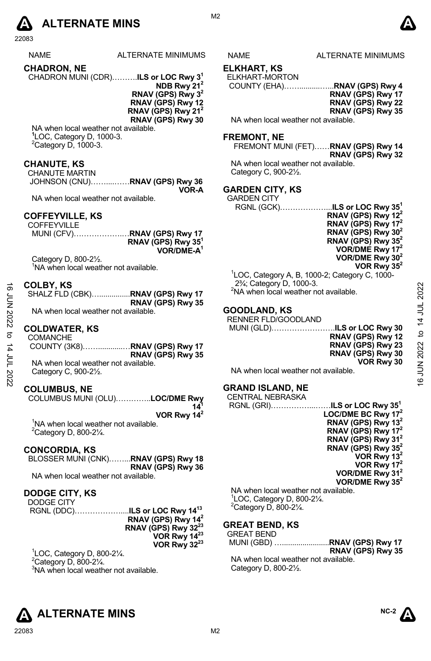# **A** ALTERNATE MINS  $\qquad \qquad \blacksquare$

22083

| <b>NAME</b>        | ALTERNATE MINIMUMS |
|--------------------|--------------------|
| <b>CHADRON, NE</b> |                    |

CHADRON MUNI (CDR)……….**ILS or LOC Rwy 31**

**NDB Rwy 212 RNAV (GPS) Rwy 32 RNAV (GPS) Rwy 12 RNAV (GPS) Rwy 21<sup>2</sup> RNAV (GPS) Rwy 30** 

NA when local weather not available. **1** LOC, Category D, 1000-3.  $2$ Category D, 1000-3.

#### **CHANUTE, KS**

| <b>CHANUTE MARTIN</b> |                                |
|-----------------------|--------------------------------|
|                       | JOHNSON (CNU)RNAV (GPS) Rwy 36 |
|                       | VOR-A                          |

NA when local weather not available.

#### **COFFEYVILLE, KS**

| <b>COFFEYVILLE</b> |                                |
|--------------------|--------------------------------|
|                    |                                |
|                    | RNAV (GPS) Rwy 35 <sup>1</sup> |
|                    | VOR/DME-A <sup>1</sup>         |

Category D, 800-2½. <sup>1</sup>NA when local weather not available.

#### **COLBY, KS**

|                                     | RNAV (GPS) Rwy 35 |
|-------------------------------------|-------------------|
| NA whan local waathar not available |                   |

#### **COLDWATER, KS**

| ಹೆ     | COLBY, KS                                       | $274$ , Galegory D, 1000-3.                       |              |
|--------|-------------------------------------------------|---------------------------------------------------|--------------|
|        | SHALZ FLD (CBK)RNAV (GPS) Rwy 17                | <sup>2</sup> NA when local weather not available. | 2022         |
| ξ<br>Σ | RNAV (GPS) Rwy 35                               |                                                   |              |
|        | NA when local weather not available.            | <b>GOODLAND, KS</b>                               |              |
| 12022  |                                                 | RENNER FLD/GOODLAND                               | 4            |
|        | <b>COLDWATER, KS</b>                            | MUNI (GLD)ILS or LOC Rwy 30                       |              |
| ಕ      | <b>COMANCHE</b>                                 | RNAV (GPS) Rwy 12                                 | $\mathbf{c}$ |
|        |                                                 | RNAV (GPS) Rwy 23                                 |              |
| 4      |                                                 | RNAV (GPS) Rwy 30                                 | JN 2022      |
| ξ      | RNAV (GPS) Rwy 35                               |                                                   |              |
|        | NA when local weather not available.            | VOR Rwy 30                                        |              |
|        | Category C, 900-2 <sup>1</sup> / <sub>2</sub> . | NA when local weather not available.              |              |
| 2022   |                                                 |                                                   | ဖ            |
|        |                                                 | ----------------                                  |              |

#### **COLUMBUS, NE**

COLUMBUS MUNI (OLU)…………..**LOC/DME Rwy 141**

**VOR Rwy 142**

<sup>1</sup>NA when local weather not available.  $2$ Category D, 800-2 $\frac{1}{4}$ .

#### **CONCORDIA, KS**

| BLOSSER MUNI (CNK)RNAV (GPS) Rwy 18 |
|-------------------------------------|
| RNAV (GPS) Rwy 36                   |
| NA when local weather not available |

NA when local weather not available.

#### **DODGE CITY, KS**

| DODGE CITY |                                 |
|------------|---------------------------------|
|            |                                 |
|            | RNAV (GPS) Rwy $142$            |
|            | RNAV (GPS) Rwy 32 <sup>23</sup> |
|            | VOR Rwy 14 <sup>23</sup>        |
|            | VOR Rwy 32 <sup>23</sup>        |

1 LOC, Category D, 800-2¼.  $2$ Category D, 800-2 $\frac{1}{4}$ .

<sup>3</sup>NA when local weather not available.





#### **ELKHART, KS**

M<sub>2</sub>

ELKHART-MORTON

COUNTY (EHA)……..........…...**RNAV (GPS) Rwy 4** 

**RNAV (GPS) Rwy 17 RNAV (GPS) Rwy 22 RNAV (GPS) Rwy 35** 

NA when local weather not available.

#### **FREMONT, NE**

FREMONT MUNI (FET)……**RNAV (GPS) Rwy 14 RNAV (GPS) Rwy 32**  NA when local weather not available. Category C, 900-2½.

### **GARDEN CITY, KS**  GAR<br>RC

| \RDEN CITY |                                                       |
|------------|-------------------------------------------------------|
|            | RGNL (GCK)……………… <b>ILS or LOC Rwy 35<sup>1</sup></b> |
|            | RNAV (GPS) Rwy $12^2$                                 |
|            | RNAV (GPS) Rwy $172$                                  |

| RNAV (GPS) Rwy 17 <sup>2</sup> |
|--------------------------------|
| RNAV (GPS) Rwy 30 <sup>2</sup> |
| RNAV (GPS) Rwy 35 <sup>2</sup> |
| VOR/DME Rwy 17 <sup>2</sup>    |
| VOR/DME Rwy 30 <sup>2</sup>    |
| VOR Rwy 35 <sup>2</sup>        |
|                                |

1 LOC, Category A, B, 1000-2; Category C, 1000- 2¾; Category D, 1000-3. <sup>2</sup>NA when local weather not available.

#### **GRAND ISLAND, NE**  CENTRAL NEBRASKA

| <u>ULIN I I V IL I ILUI V IUI V I</u> |                                          |
|---------------------------------------|------------------------------------------|
|                                       | RGNL (GRI)ILS or LOC Rwy 35 <sup>1</sup> |
|                                       | LOC/DME BC Rwy $172$                     |
|                                       | RNAV (GPS) Rwy 13 <sup>2</sup>           |
|                                       | RNAV (GPS) Rwy $172$                     |
|                                       | RNAV (GPS) Rwy 31 <sup>2</sup>           |
|                                       | RNAV (GPS) Rwy $35^2$                    |
|                                       | VOR Rwy $13^2$                           |
|                                       | VOR Rwy $172$                            |
|                                       | VOR/DME Rwy 31 <sup>2</sup>              |
|                                       | VOR/DME Rwy $35^2$                       |
| NA when local weather not available.  |                                          |
|                                       |                                          |

1 LOC, Category D, 800-2¼.  $2$ Category D, 800-2 $\frac{1}{4}$ .

#### **GREAT BEND, KS**

| <b>GREAT BEND</b> |  |
|-------------------|--|
|                   |  |

**RNAV (GPS) Rwy 35**  NA when local weather not available. Category D, 800-2½.

**NC-2**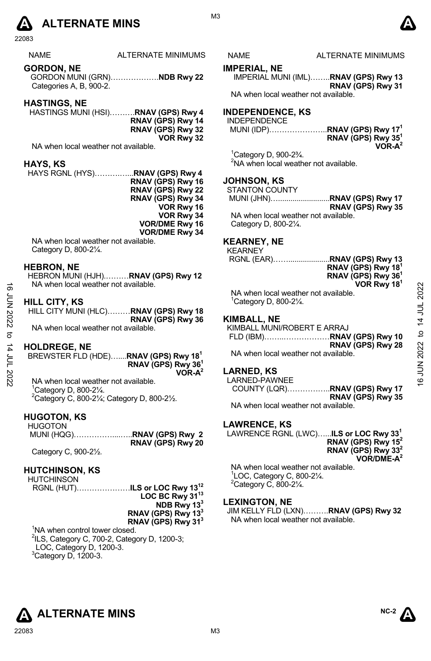# **A** ALTERNATE MINS  $\bullet$

22083

**GORDON, NE**  GORDON MUNI (GRN)……………….**NDB Rwy 22**  Categories A, B, 900-2.

#### **HASTINGS, NE**

HASTINGS MUNI (HSI)……….**RNAV (GPS) Rwy 4 RNAV (GPS) Rwy 14 RNAV (GPS) Rwy 32 VOR Rwy 32** 

NA when local weather not available.

#### **HAYS, KS**

HAYS RGNL (HYS)……….…...**RNAV (GPS) Rwy 4 RNAV (GPS) Rwy 16 RNAV (GPS) Rwy 22 RNAV (GPS) Rwy 34 VOR Rwy 16 VOR Rwy 34 VOR/DME Rwy 16 VOR/DME Rwy 34** 

NA when local weather not available. Category D, 800-2¼.

#### **HEBRON, NE**

HEBRON MUNI (HJH).………**RNAV (GPS) Rwy 12**  NA when local weather not available.

#### **HILL CITY, KS**

HILL CITY MUNI (HLC)………**RNAV (GPS) Rwy 18 RNAV (GPS) Rwy 36**  NA when local weather not available.  $\frac{1}{2}$ <br>  $\frac{1}{2}$ <br>  $\frac{1}{2}$ <br>
HILL CITY, KS<br>
HILL CITY MUNI (HLC).........RNAV (GPS) Rwy 18<br>
RNAV (GPS) Rwy 36<br>
NA when local weather not available.<br>
NA when local weather not available.<br>
<br>
NA when local weather not a

#### **HOLDREGE, NE**

| BREWSTER FLD (HDE)RNAV (GPS) Rwy 18 <sup>1</sup> |                                |
|--------------------------------------------------|--------------------------------|
|                                                  | RNAV (GPS) Rwy 36 <sup>1</sup> |
|                                                  | $VOR-A^2$                      |

NA when local weather not available. 1 Category D, 800-2¼.  $^{2}$ Category C, 800-21⁄<sub>4</sub>; Category D, 800-21⁄<sub>2</sub>.

#### **HUGOTON, KS**

| HUGOTON                                                 |                   |
|---------------------------------------------------------|-------------------|
|                                                         |                   |
|                                                         | RNAV (GPS) Rwy 20 |
| $\sim$ $\sim$ $\sim$ $\sim$ $\sim$ $\sim$ $\sim$ $\sim$ |                   |

Category C, 900-2½.

#### **HUTCHINSON, KS**

**HUTCHINSON** 

RGNL (HUT)…………………**ILS or LOC Rwy 1312 LOC BC Rwy 3113 NDB Rwy 133 RNAV (GPS) Rwy 133 RNAV (GPS) Rwy 313**

<sup>1</sup>NA when control tower closed. <sup>2</sup>ILS, Category C, 700-2, Category D, 1200-3; LOC, Category D, 1200-3.  $3$ Category D, 1200-3.

#### NAME ALTERNATE MINIMUMS

M3

#### **IMPERIAL, NE**

IMPERIAL MUNI (IML)……..**RNAV (GPS) Rwy 13 RNAV (GPS) Rwy 31**  NA when local weather not available.

#### **INDEPENDENCE, KS**

| ---------------<br><b>INDEPENDENCE</b> |                                          |
|----------------------------------------|------------------------------------------|
|                                        | MUNI (IDP)RNAV (GPS) Rwy 17 <sup>1</sup> |
|                                        | RNAV (GPS) Rwy 35 <sup>1</sup>           |
|                                        | $VOR-A2$                                 |

1 Category D, 900-2¾. <sup>2</sup>NA when local weather not available.

#### **JOHNSON, KS**

| <b>STANTON COUNTY</b> |                   |
|-----------------------|-------------------|
|                       |                   |
|                       | RNAV (GPS) Rwy 35 |
| .                     |                   |

NA when local weather not available. Category D, 800-2¼.

#### **KEARNEY, NE**

KEARNEY

|   | RNAV (GPS) Rwy 18 <sup>1</sup> |
|---|--------------------------------|
|   | RNAV (GPS) Rwy 36 <sup>1</sup> |
|   | VOR Rwy 18 <sup>1</sup>        |
| . |                                |

NA when local weather not available. 1 Category D, 800-2¼.

#### **KIMBALL, NE**

KIMBALL MUNI/ROBERT E ARRAJ

FLD (IBM)……..………………**RNAV (GPS) Rwy 10 RNAV (GPS) Rwy 28**  NA when local weather not available.

#### **LARNED, KS**

LARNED-PAWNEE COUNTY (LQR)……………..**RNAV (GPS) Rwy 17 RNAV (GPS) Rwy 35** 

NA when local weather not available.

#### **LAWRENCE, KS**

LAWRENCE RGNL (LWC)…...**ILS or LOC Rwy 331 RNAV (GPS) Rwy 152 RNAV (GPS) Rwy 332 VOR/DME-A2**  NA when local weather not available.

1 LOC, Category C, 800-2¼.  $2$ Category C, 800-2 $\frac{1}{4}$ .

#### **LEXINGTON, NE**

JIM KELLY FLD (LXN)……….**RNAV (GPS) Rwy 32** NA when local weather not available.



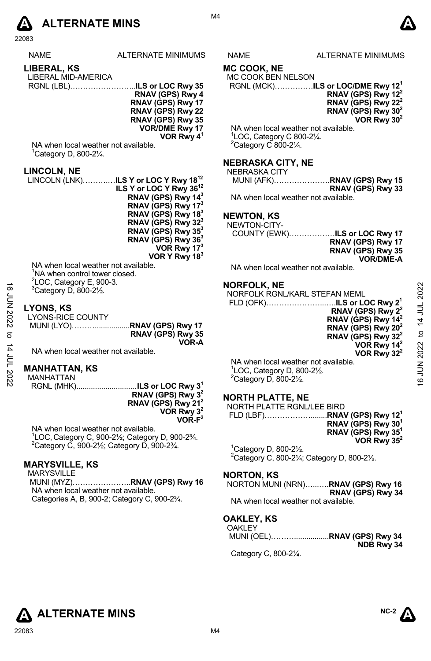

22083

|  |  | ᄭᇧᄭᆮ |
|--|--|------|

NAME ALTERNATE MINIMUMS NAME ALTERNATE MINIMUMS

# **LIBERAL, KS**  LIBERAL MID-AMERICA

| LIDLIVL MID-AMERICA |  |
|---------------------|--|
|                     |  |

**RNAV (GPS) Rwy 4 RNAV (GPS) Rwy 17 RNAV (GPS) Rwy 22 RNAV (GPS) Rwy 35 VOR/DME Rwy 17 VOR Rwy 41**

NA when local weather not available. 1 Category D, 800-2¼.

#### **LINCOLN, NE**

LINCOLN (LNK)……….…**ILS Y or LOC Y Rwy 1812 ILS Y or LOC Y Rwy 3612 RNAV (GPS) Rwy 143 RNAV (GPS) Rwy 173 RNAV (GPS) Rwy 183 RNAV (GPS) Rwy 323 RNAV (GPS) Rwy 353 RNAV (GPS) Rwy 363 VOR Rwy 173 VOR Y Rwy 183** 

NA when local weather not available. <sup>1</sup>NA when control tower closed.  $2$ LOC, Category E, 900-3.  $3$ Category D, 800-2½.

#### **LYONS, KS**

| .<br><b>LYONS-RICE COUNTY</b> |                             |
|-------------------------------|-----------------------------|
|                               | MUNI (LYO)RNAV (GPS) Rwy 17 |
|                               | RNAV (GPS) Rwy 35           |
|                               | VOR-A                       |

#### **MANHATTAN, KS**

MANHATTAN RGNL (MHK) ............................. **ILS or LOC Rwy 31**

**RNAV (GPS) Rwy 32 RNAV (GPS) Rwy 212 VOR Rwy 32 VOR-F2**

NA when local weather not available. <sup>1</sup>LOC, Category C, 900-2½; Category D, 900-2¾.<br><sup>2</sup>Category C, 900, 21/: Category D, 900, 23/ Category C, 900-2½; Category D, 900-2¾.

#### **MARYSVILLE, KS**

MARYSVILLE MUNI (MYZ)…………………..**RNAV (GPS) Rwy 16**  NA when local weather not available. Categories A, B, 900-2; Category C, 900-2¾.

### **MC COOK, NE**

### MC COOK BEN NELSON

RGNL (MCK)……………**ILS or LOC/DME Rwy 121 RNAV (GPS) Rwy 122**

**RNAV (GPS) Rwy 222 RNAV (GPS) Rwy 302 VOR Rwy 302**

NA when local weather not available. 1 LOC, Category C 800-2¼.  $2$ Category C 800-2 $\frac{1}{4}$ .

#### **NEBRASKA CITY, NE**

| NEBRASKA CITY                        |                             |
|--------------------------------------|-----------------------------|
|                                      | MUNI (AFK)RNAV (GPS) Rwy 15 |
|                                      | RNAV (GPS) Rwy 33           |
| NA when local weather not available. |                             |

## **NEWTON, KS**

| NEWTON-CITY- |                                       |
|--------------|---------------------------------------|
|              | COUNTY (EWK) <b>ILS or LOC Rwy 17</b> |
|              | RNAV (GPS) Rwy 17                     |
|              | RNAV (GPS) Rwy 35                     |
|              | <b>VOR/DME-A</b>                      |

NA when local weather not available.

#### **NORFOLK, NE**

| ∾                                                                                                                                                                                               |
|-------------------------------------------------------------------------------------------------------------------------------------------------------------------------------------------------|
| 20                                                                                                                                                                                              |
|                                                                                                                                                                                                 |
| $\exists$                                                                                                                                                                                       |
| $\frac{4}{1}$                                                                                                                                                                                   |
|                                                                                                                                                                                                 |
| ೆ                                                                                                                                                                                               |
|                                                                                                                                                                                                 |
|                                                                                                                                                                                                 |
| 2022                                                                                                                                                                                            |
| z                                                                                                                                                                                               |
|                                                                                                                                                                                                 |
|                                                                                                                                                                                                 |
| ဖ                                                                                                                                                                                               |
| NORFOLK RGNL/KARL STEFAN MEML<br>RNAV (GPS) Rwy $2^2$<br>RNAV (GPS) Rwy 14 <sup>2</sup><br>RNAV (GPS) Rwy 20 <sup>2</sup><br>RNAV (GPS) Rwy $32^2$<br>VOR Rwy $14^2$<br>VOR Rwy 32 <sup>2</sup> |

#### **NORTH PLATTE, NE**

| NORTH PLATTE RGNL/LEE BIRD                 |                                |
|--------------------------------------------|--------------------------------|
|                                            |                                |
|                                            | RNAV (GPS) Rwy 30 <sup>1</sup> |
|                                            | RNAV (GPS) Rwy 35 <sup>1</sup> |
|                                            | VOR Rwy $35^2$                 |
| ${}^{1}$ Category D, 800-2 $\frac{1}{2}$ . |                                |
| $20 - 20$                                  | <b>- --- ---</b>               |

 $2$ Category C, 800-2 $\frac{1}{4}$ ; Category D, 800-2 $\frac{1}{2}$ .

#### **NORTON, KS**

NORTON MUNI (NRN)…...….**RNAV (GPS) Rwy 16 RNAV (GPS) Rwy 34** NA when local weather not available.

#### **OAKLEY, KS**  OAKLEY

| UANLE I |                             |
|---------|-----------------------------|
|         | MUNI (OEL)RNAV (GPS) Rwy 34 |
|         |                             |
|         | NDB Rwy 34                  |
|         |                             |

Category C, 800-2¼.



M4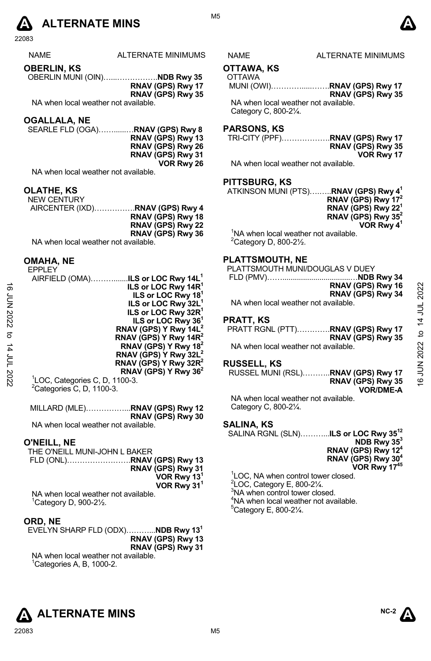

22083

| NAMF |  |
|------|--|
|      |  |

**OBERLIN, KS**  OBERLIN MUNI (OIN)…...…………….**NDB Rwy 35 RNAV (GPS) Rwy 17 RNAV (GPS) Rwy 35**

NA when local weather not available.

#### **OGALLALA, NE**

| SEARLE FLD (OGA) <b>RNAV (GPS) Rwy 8</b> |                   |
|------------------------------------------|-------------------|
|                                          | RNAV (GPS) Rwy 13 |
|                                          | RNAV (GPS) Rwy 26 |
|                                          | RNAV (GPS) Rwy 31 |
|                                          | VOR Rwy 26        |

NA when local weather not available.

#### **OLATHE, KS**

| <b>NEW CENTURY</b>                   |                                         |
|--------------------------------------|-----------------------------------------|
|                                      | AIRCENTER (IXD) <b>RNAV (GPS) Rwy 4</b> |
|                                      | RNAV (GPS) Rwy 18                       |
|                                      | RNAV (GPS) Rwy 22                       |
|                                      | RNAV (GPS) Rwy 36                       |
| NA when local weather not available. |                                         |

#### **OMAHA, NE**

EPPLEY

|        | AIRFIELD (OMA)ILS or LOC Rwy 14L <sup>1</sup> |                                          |              |
|--------|-----------------------------------------------|------------------------------------------|--------------|
| ಹೆ     | ILS or LOC Rwy 14R <sup>1</sup>               | RNAV (GPS) Rwy 16                        |              |
|        | ILS or LOC Rwy 18 <sup>1</sup>                | RNAV (GPS) Rwy 34                        | 2022         |
| ξ<br>Σ | ILS or LOC Rwy 32L <sup>1</sup>               | NA when local weather not available.     |              |
|        | ILS or LOC Rwy 32R <sup>1</sup>               |                                          |              |
| 12022  | ILS or LOC Rwy 36 <sup>1</sup>                | <b>PRATT, KS</b>                         |              |
|        | RNAV (GPS) Y Rwy 14L <sup>2</sup>             | <b>PRATT RGNL (PTT)RNAV (GPS) Rwy 17</b> |              |
| ನ      | RNAV (GPS) Y Rwy 14R <sup>2</sup>             | RNAV (GPS) Rwy 35                        | $\mathbf{a}$ |
| 4      | RNAV (GPS) Y Rwy 18 <sup>2</sup>              | NA when local weather not available.     | 2022         |
| $\Xi$  | RNAV (GPS) Y Rwy 32L <sup>2</sup>             |                                          |              |
|        | RNAV (GPS) Y Rwy 32R <sup>4</sup>             | <b>RUSSELL, KS</b>                       |              |
|        | RNAV (GPS) Y Rwy 36 <sup>2</sup>              | RUSSEL MUNI (RSL)RNAV (GPS) Rwy 17       |              |
| 2022   | <sup>1</sup> LOC, Categories C, D, 1100-3.    | RNAV (GPS) Rwy 35                        | NUN 91       |
|        | $2 -$<br>--------                             |                                          |              |

 ${}^{2}$ Categories C, D, 1100-3.

MILLARD (MLE)……………...**RNAV (GPS) Rwy 12 RNAV (GPS) Rwy 30**  NA when local weather not available.

#### **O'NEILL, NE**

| THE O'NEILL MUNI-JOHN L BAKER        |                         |
|--------------------------------------|-------------------------|
|                                      |                         |
|                                      | RNAV (GPS) Rwy 31       |
|                                      | VOR Rwy 13 <sup>1</sup> |
|                                      | VOR Rwy 31 <sup>1</sup> |
| NA when local weather not available. |                         |

1 Category D, 900-2½.

#### **ORD, NE**

EVELYN SHARP FLD (ODX)………...**NDB Rwy 131 RNAV (GPS) Rwy 13 RNAV (GPS) Rwy 31**  NA when local weather not available.  ${}^{1}$ Categories A, B, 1000-2.

M5

#### ALTERNATE MINIMUMS NAME ALTERNATE MINIMUMS

#### **OTTAWA, KS**

OTTAWA

 MUNI (OWI)………….....…….**RNAV (GPS) Rwy 17 RNAV (GPS) Rwy 35**  NA when local weather not available.

Category C, 800-2¼.

#### **PARSONS, KS**

| RNAV (GPS) Rwy 35 |
|-------------------|
| VOR Rwy 17        |

NA when local weather not available.

#### **PITTSBURG, KS**

ATKINSON MUNI (PTS)….…..**RNAV (GPS) Rwy 41**

| RNAV (GPS) Rwy 17 <sup>2</sup> |
|--------------------------------|
| RNAV (GPS) Rwy 22 $1$          |
| RNAV (GPS) Rwy $35^2$          |
| VOR Rwy 4 <sup>1</sup>         |
|                                |

<sup>1</sup>NA when local weather not available.  $2$ Category D, 800-2 $\frac{1}{2}$ .

#### **PLATTSMOUTH, NE**

PLATTSMOUTH MUNI/DOUGLAS V DUEY

| RNAV (GPS) Rwy 16                   |
|-------------------------------------|
| RNAV (GPS) Rwy 34                   |
| NA when local weather not available |

#### **PRATT, KS**

#### **RUSSELL, KS**

RUSSEL MUNI (RSL)………..**RNAV (GPS) Rwy 17 RNAV (GPS) Rwy 35 VOR/DME-A** 

NA when local weather not available. Category C, 800-2¼.

#### **SALINA, KS**

SALINA RGNL (SLN)………...**ILS or LOC Rwy 3512 NDB Rwy 353 RNAV (GPS) Rwy 124 RNAV (GPS) Rwy 304 VOR Rwy 1745**

 LOC, NA when control tower closed. LOC, Category E, 800-2 $\frac{1}{4}$ . <sup>3</sup>NA when control tower closed. NA when local weather not available. Category E, 800-2¼.